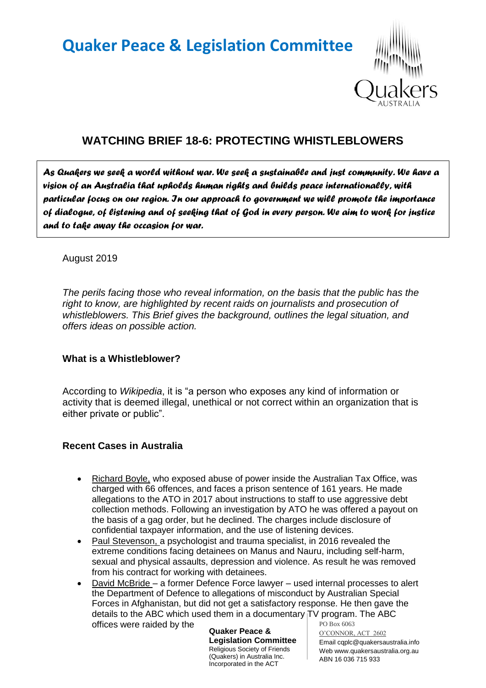# **Quaker Peace & Legislation Committee**



# **WATCHING BRIEF 18-6: PROTECTING WHISTLEBLOWERS**

*As Quakers we seek a world without war. We seek a sustainable and just community. We have a vision of an Australia that upholds human rights and builds peace internationally, with particular focus on our region. In our approach to government we will promote the importance of dialogue, of listening and of seeking that of God in every person. We aim to work for justice and to take away the occasion for war.* 

#### August 2019

*The perils facing those who reveal information, on the basis that the public has the right to know, are highlighted by recent raids on journalists and prosecution of whistleblowers. This Brief gives the background, outlines the legal situation, and offers ideas on possible action.*

### **What is a Whistleblower?**

According to *Wikipedia*, it is "a person who exposes any kind of information or activity that is deemed illegal, unethical or not correct within an organization that is either private or public".

### **Recent Cases in Australia**

- Richard Boyle, who exposed abuse of power inside the Australian Tax Office, was charged with 66 offences, and faces a prison sentence of 161 years. He made allegations to the ATO in 2017 about instructions to staff to use aggressive debt collection methods. Following an investigation by ATO he was offered a payout on the basis of a gag order, but he declined. The charges include disclosure of confidential taxpayer information, and the use of listening devices.
- Paul Stevenson, a psychologist and trauma specialist, in 2016 revealed the extreme conditions facing detainees on Manus and Nauru, including self-harm, sexual and physical assaults, depression and violence. As result he was removed from his contract for working with detainees.
- PO Box 6063 • David McBride – a former Defence Force lawyer – used internal processes to alert the Department of Defence to allegations of misconduct by Australian Special Forces in Afghanistan, but did not get a satisfactory response. He then gave the details to the ABC which used them in a documentary TV program. The ABC offices were raided by the

**Quaker Peace & Legislation Committee** Religious Society of Friends (Quakers) in Australia Inc. Incorporated in the ACT

O'CONNOR, ACT 2602 Email cqplc@quakersaustralia.info Web www.quakersaustralia.org.au ABN 16 036 715 933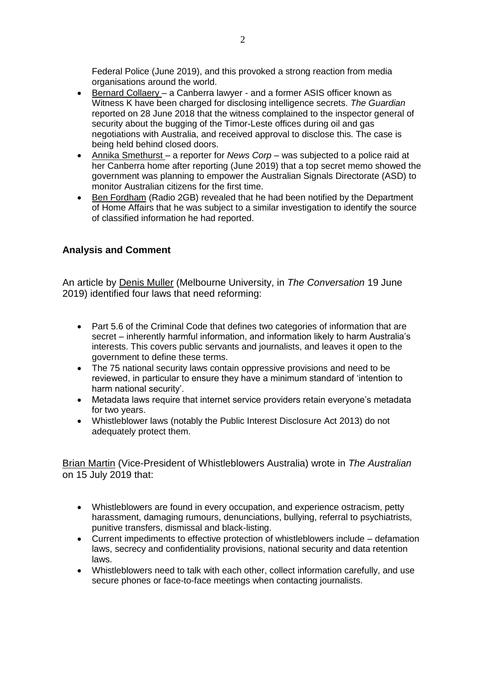Federal Police (June 2019), and this provoked a strong reaction from media organisations around the world.

- Bernard Collaery a Canberra lawyer and a former ASIS officer known as Witness K have been charged for disclosing intelligence secrets. *The Guardian* reported on 28 June 2018 that the witness complained to the inspector general of security about the bugging of the Timor-Leste offices during oil and gas negotiations with Australia, and received approval to disclose this. The case is being held behind closed doors.
- Annika Smethurst a reporter for *News Corp* was subjected to a police raid at her Canberra home after reporting (June 2019) that a top secret memo showed the government was planning to empower the Australian Signals Directorate (ASD) to monitor Australian citizens for the first time.
- Ben Fordham (Radio 2GB) revealed that he had been notified by the Department of Home Affairs that he was subject to a similar investigation to identify the source of classified information he had reported.

#### **Analysis and Comment**

An article by Denis Muller (Melbourne University, in *The Conversation* 19 June 2019) identified four laws that need reforming:

- Part 5.6 of the Criminal Code that defines two categories of information that are secret – inherently harmful information, and information likely to harm Australia's interests. This covers public servants and journalists, and leaves it open to the government to define these terms.
- The 75 national security laws contain oppressive provisions and need to be reviewed, in particular to ensure they have a minimum standard of 'intention to harm national security'.
- Metadata laws require that internet service providers retain everyone's metadata for two years.
- Whistleblower laws (notably the Public Interest Disclosure Act 2013) do not adequately protect them.

Brian Martin (Vice-President of Whistleblowers Australia) wrote in *The Australian* on 15 July 2019 that:

- Whistleblowers are found in every occupation, and experience ostracism, petty harassment, damaging rumours, denunciations, bullying, referral to psychiatrists, punitive transfers, dismissal and black-listing.
- Current impediments to effective protection of whistleblowers include defamation laws, secrecy and confidentiality provisions, national security and data retention laws.
- Whistleblowers need to talk with each other, collect information carefully, and use secure phones or face-to-face meetings when contacting journalists.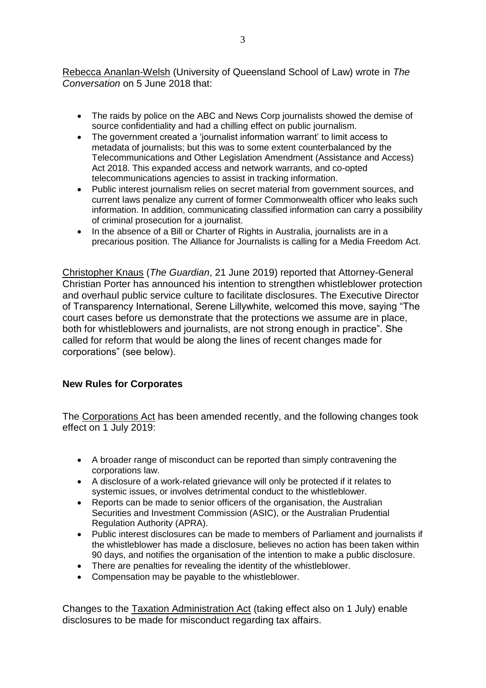Rebecca Ananlan-Welsh (University of Queensland School of Law) wrote in *The Conversation* on 5 June 2018 that:

- The raids by police on the ABC and News Corp journalists showed the demise of source confidentiality and had a chilling effect on public journalism.
- The government created a 'journalist information warrant' to limit access to metadata of journalists; but this was to some extent counterbalanced by the Telecommunications and Other Legislation Amendment (Assistance and Access) Act 2018. This expanded access and network warrants, and co-opted telecommunications agencies to assist in tracking information.
- Public interest journalism relies on secret material from government sources, and current laws penalize any current of former Commonwealth officer who leaks such information. In addition, communicating classified information can carry a possibility of criminal prosecution for a journalist.
- In the absence of a Bill or Charter of Rights in Australia, journalists are in a precarious position. The Alliance for Journalists is calling for a Media Freedom Act.

Christopher Knaus (*The Guardian*, 21 June 2019) reported that Attorney-General Christian Porter has announced his intention to strengthen whistleblower protection and overhaul public service culture to facilitate disclosures. The Executive Director of Transparency International, Serene Lillywhite, welcomed this move, saying "The court cases before us demonstrate that the protections we assume are in place, both for whistleblowers and journalists, are not strong enough in practice". She called for reform that would be along the lines of recent changes made for corporations" (see below).

### **New Rules for Corporates**

The Corporations Act has been amended recently, and the following changes took effect on 1 July 2019:

- A broader range of misconduct can be reported than simply contravening the corporations law.
- A disclosure of a work-related grievance will only be protected if it relates to systemic issues, or involves detrimental conduct to the whistleblower.
- Reports can be made to senior officers of the organisation, the Australian Securities and Investment Commission (ASIC), or the Australian Prudential Regulation Authority (APRA).
- Public interest disclosures can be made to members of Parliament and journalists if the whistleblower has made a disclosure, believes no action has been taken within 90 days, and notifies the organisation of the intention to make a public disclosure.
- There are penalties for revealing the identity of the whistleblower.
- Compensation may be payable to the whistleblower.

Changes to the Taxation Administration Act (taking effect also on 1 July) enable disclosures to be made for misconduct regarding tax affairs.